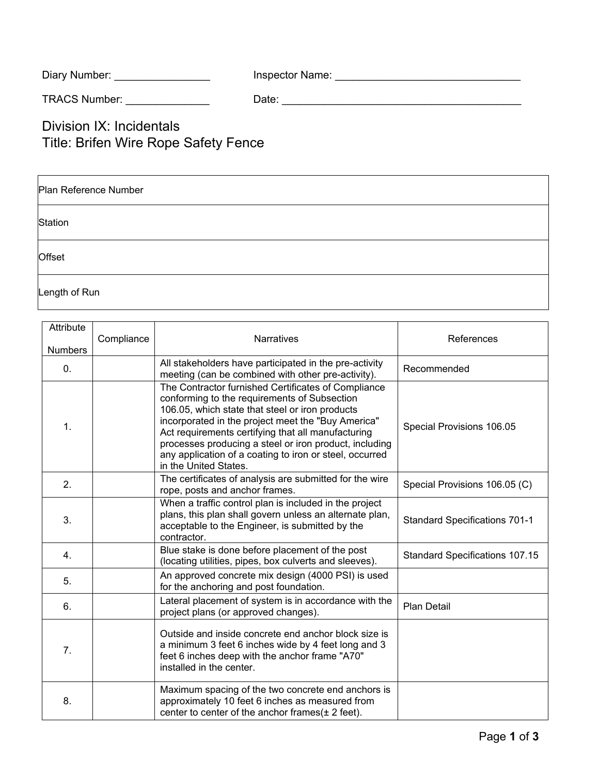| Diary Number: | Inspector Name: |
|---------------|-----------------|
|---------------|-----------------|

TRACS Number: \_\_\_\_\_\_\_\_\_\_\_\_\_\_ Date: \_\_\_\_\_\_\_\_\_\_\_\_\_\_\_\_\_\_\_\_\_\_\_\_\_\_\_\_\_\_\_\_\_\_\_\_\_\_\_\_

Division IX: Incidentals Title: Brifen Wire Rope Safety Fence

| Plan Reference Number |  |  |  |  |
|-----------------------|--|--|--|--|
| Station               |  |  |  |  |
| Offset                |  |  |  |  |
| Length of Run         |  |  |  |  |

| Attribute      |            |                                                                                                                                                                                                                                                                                                                                                                                                                  |                                       |
|----------------|------------|------------------------------------------------------------------------------------------------------------------------------------------------------------------------------------------------------------------------------------------------------------------------------------------------------------------------------------------------------------------------------------------------------------------|---------------------------------------|
| <b>Numbers</b> | Compliance | Narratives                                                                                                                                                                                                                                                                                                                                                                                                       | References                            |
| $\mathbf{0}$ . |            | All stakeholders have participated in the pre-activity<br>meeting (can be combined with other pre-activity).                                                                                                                                                                                                                                                                                                     | Recommended                           |
| 1.             |            | The Contractor furnished Certificates of Compliance<br>conforming to the requirements of Subsection<br>106.05, which state that steel or iron products<br>incorporated in the project meet the "Buy America"<br>Act requirements certifying that all manufacturing<br>processes producing a steel or iron product, including<br>any application of a coating to iron or steel, occurred<br>in the United States. | Special Provisions 106.05             |
| 2.             |            | The certificates of analysis are submitted for the wire<br>rope, posts and anchor frames.                                                                                                                                                                                                                                                                                                                        | Special Provisions 106.05 (C)         |
| 3.             |            | When a traffic control plan is included in the project<br>plans, this plan shall govern unless an alternate plan,<br>acceptable to the Engineer, is submitted by the<br>contractor.                                                                                                                                                                                                                              | <b>Standard Specifications 701-1</b>  |
| 4.             |            | Blue stake is done before placement of the post<br>(locating utilities, pipes, box culverts and sleeves).                                                                                                                                                                                                                                                                                                        | <b>Standard Specifications 107.15</b> |
| 5.             |            | An approved concrete mix design (4000 PSI) is used<br>for the anchoring and post foundation.                                                                                                                                                                                                                                                                                                                     |                                       |
| 6.             |            | Lateral placement of system is in accordance with the<br>project plans (or approved changes).                                                                                                                                                                                                                                                                                                                    | <b>Plan Detail</b>                    |
| 7.             |            | Outside and inside concrete end anchor block size is<br>a minimum 3 feet 6 inches wide by 4 feet long and 3<br>feet 6 inches deep with the anchor frame "A70"<br>installed in the center.                                                                                                                                                                                                                        |                                       |
| 8.             |            | Maximum spacing of the two concrete end anchors is<br>approximately 10 feet 6 inches as measured from<br>center to center of the anchor frames $(± 2 feet)$ .                                                                                                                                                                                                                                                    |                                       |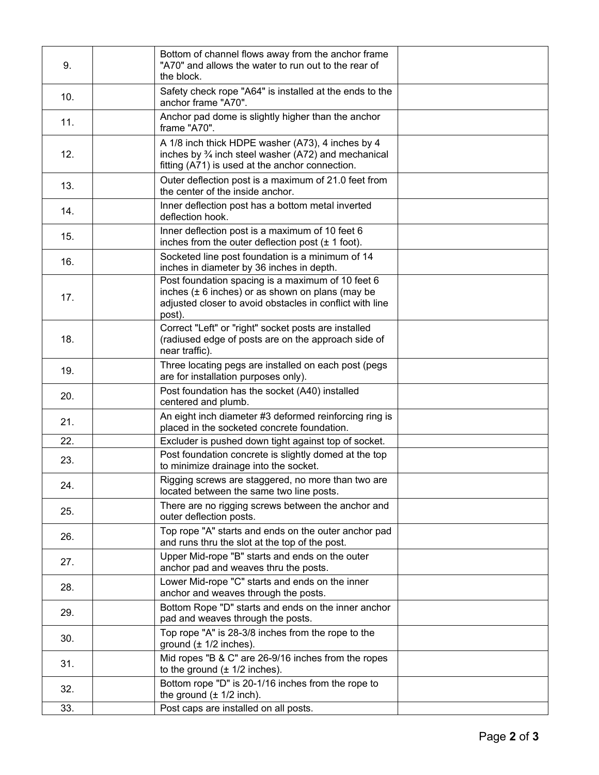| 9.  | Bottom of channel flows away from the anchor frame<br>"A70" and allows the water to run out to the rear of<br>the block.                                                        |  |
|-----|---------------------------------------------------------------------------------------------------------------------------------------------------------------------------------|--|
| 10. | Safety check rope "A64" is installed at the ends to the<br>anchor frame "A70".                                                                                                  |  |
| 11. | Anchor pad dome is slightly higher than the anchor<br>frame "A70".                                                                                                              |  |
| 12. | A 1/8 inch thick HDPE washer (A73), 4 inches by 4<br>inches by $\frac{3}{4}$ inch steel washer (A72) and mechanical<br>fitting (A71) is used at the anchor connection.          |  |
| 13. | Outer deflection post is a maximum of 21.0 feet from<br>the center of the inside anchor.                                                                                        |  |
| 14. | Inner deflection post has a bottom metal inverted<br>deflection hook.                                                                                                           |  |
| 15. | Inner deflection post is a maximum of 10 feet 6<br>inches from the outer deflection post $(\pm 1$ foot).                                                                        |  |
| 16. | Socketed line post foundation is a minimum of 14<br>inches in diameter by 36 inches in depth.                                                                                   |  |
| 17. | Post foundation spacing is a maximum of 10 feet 6<br>inches $(\pm 6$ inches) or as shown on plans (may be<br>adjusted closer to avoid obstacles in conflict with line<br>post). |  |
| 18. | Correct "Left" or "right" socket posts are installed<br>(radiused edge of posts are on the approach side of<br>near traffic).                                                   |  |
| 19. | Three locating pegs are installed on each post (pegs<br>are for installation purposes only).                                                                                    |  |
| 20. | Post foundation has the socket (A40) installed<br>centered and plumb.                                                                                                           |  |
| 21. | An eight inch diameter #3 deformed reinforcing ring is<br>placed in the socketed concrete foundation.                                                                           |  |
| 22. | Excluder is pushed down tight against top of socket.                                                                                                                            |  |
| 23. | Post foundation concrete is slightly domed at the top<br>to minimize drainage into the socket.                                                                                  |  |
| 24. | Rigging screws are staggered, no more than two are<br>located between the same two line posts.                                                                                  |  |
| 25. | There are no rigging screws between the anchor and<br>outer deflection posts.                                                                                                   |  |
| 26. | Top rope "A" starts and ends on the outer anchor pad<br>and runs thru the slot at the top of the post.                                                                          |  |
| 27. | Upper Mid-rope "B" starts and ends on the outer<br>anchor pad and weaves thru the posts.                                                                                        |  |
| 28. | Lower Mid-rope "C" starts and ends on the inner<br>anchor and weaves through the posts.                                                                                         |  |
| 29. | Bottom Rope "D" starts and ends on the inner anchor<br>pad and weaves through the posts.                                                                                        |  |
| 30. | Top rope "A" is 28-3/8 inches from the rope to the<br>ground $(\pm 1/2$ inches).                                                                                                |  |
| 31. | Mid ropes "B & C" are 26-9/16 inches from the ropes<br>to the ground $(\pm 1/2$ inches).                                                                                        |  |
| 32. | Bottom rope "D" is 20-1/16 inches from the rope to<br>the ground $(\pm 1/2$ inch).                                                                                              |  |
| 33. | Post caps are installed on all posts.                                                                                                                                           |  |